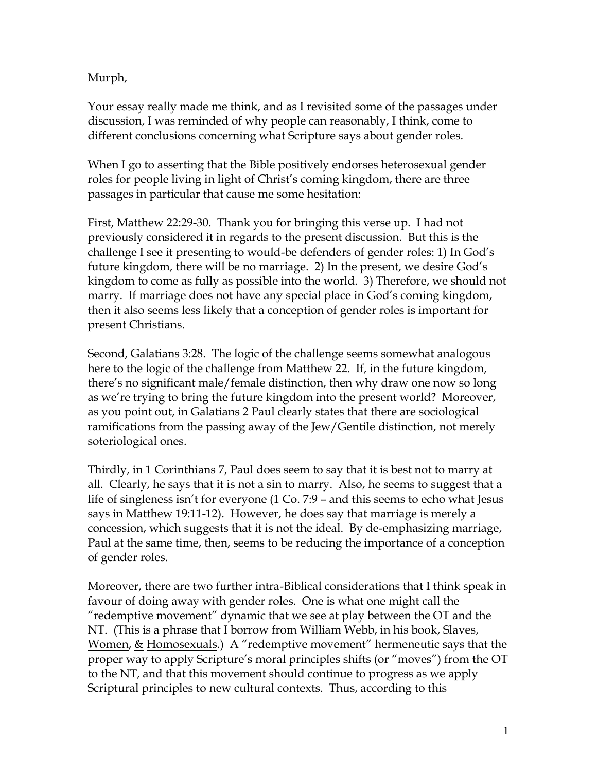Murph,

Your essay really made me think, and as I revisited some of the passages under discussion, I was reminded of why people can reasonably, I think, come to different conclusions concerning what Scripture says about gender roles.

When I go to asserting that the Bible positively endorses heterosexual gender roles for people living in light of Christ's coming kingdom, there are three passages in particular that cause me some hesitation:

First, Matthew 22:29-30. Thank you for bringing this verse up. I had not previously considered it in regards to the present discussion. But this is the challenge I see it presenting to would-be defenders of gender roles: 1) In God's future kingdom, there will be no marriage. 2) In the present, we desire God's kingdom to come as fully as possible into the world. 3) Therefore, we should not marry. If marriage does not have any special place in God's coming kingdom, then it also seems less likely that a conception of gender roles is important for present Christians.

Second, Galatians 3:28. The logic of the challenge seems somewhat analogous here to the logic of the challenge from Matthew 22. If, in the future kingdom, there's no significant male/female distinction, then why draw one now so long as we're trying to bring the future kingdom into the present world? Moreover, as you point out, in Galatians 2 Paul clearly states that there are sociological ramifications from the passing away of the Jew/Gentile distinction, not merely soteriological ones.

Thirdly, in 1 Corinthians 7, Paul does seem to say that it is best not to marry at all. Clearly, he says that it is not a sin to marry. Also, he seems to suggest that a life of singleness isn't for everyone (1 Co. 7:9 – and this seems to echo what Jesus says in Matthew 19:11-12). However, he does say that marriage is merely a concession, which suggests that it is not the ideal. By de-emphasizing marriage, Paul at the same time, then, seems to be reducing the importance of a conception of gender roles.

Moreover, there are two further intra-Biblical considerations that I think speak in favour of doing away with gender roles. One is what one might call the "redemptive movement" dynamic that we see at play between the OT and the NT. (This is a phrase that I borrow from William Webb, in his book, Slaves, Women, & Homosexuals.) A "redemptive movement" hermeneutic says that the proper way to apply Scripture's moral principles shifts (or "moves") from the OT to the NT, and that this movement should continue to progress as we apply Scriptural principles to new cultural contexts. Thus, according to this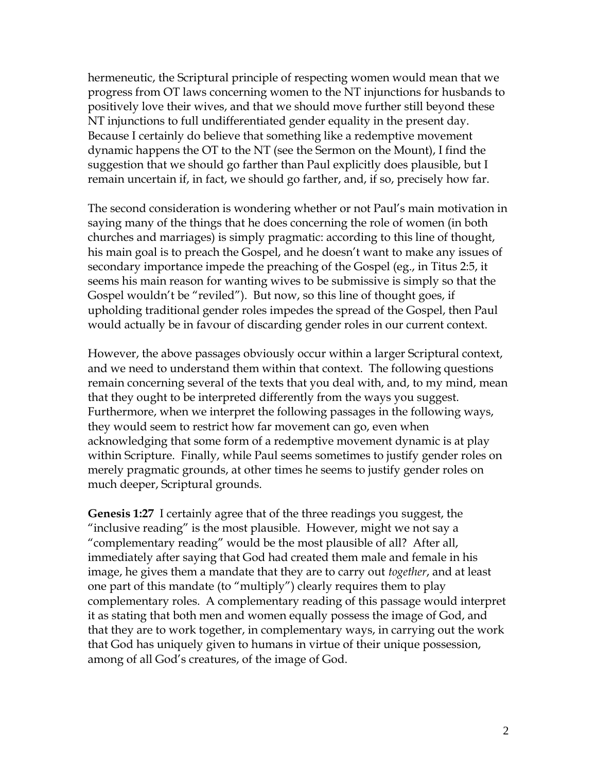hermeneutic, the Scriptural principle of respecting women would mean that we progress from OT laws concerning women to the NT injunctions for husbands to positively love their wives, and that we should move further still beyond these NT injunctions to full undifferentiated gender equality in the present day. Because I certainly do believe that something like a redemptive movement dynamic happens the OT to the NT (see the Sermon on the Mount), I find the suggestion that we should go farther than Paul explicitly does plausible, but I remain uncertain if, in fact, we should go farther, and, if so, precisely how far.

The second consideration is wondering whether or not Paul's main motivation in saying many of the things that he does concerning the role of women (in both churches and marriages) is simply pragmatic: according to this line of thought, his main goal is to preach the Gospel, and he doesn't want to make any issues of secondary importance impede the preaching of the Gospel (eg., in Titus 2:5, it seems his main reason for wanting wives to be submissive is simply so that the Gospel wouldn't be "reviled"). But now, so this line of thought goes, if upholding traditional gender roles impedes the spread of the Gospel, then Paul would actually be in favour of discarding gender roles in our current context.

However, the above passages obviously occur within a larger Scriptural context, and we need to understand them within that context. The following questions remain concerning several of the texts that you deal with, and, to my mind, mean that they ought to be interpreted differently from the ways you suggest. Furthermore, when we interpret the following passages in the following ways, they would seem to restrict how far movement can go, even when acknowledging that some form of a redemptive movement dynamic is at play within Scripture. Finally, while Paul seems sometimes to justify gender roles on merely pragmatic grounds, at other times he seems to justify gender roles on much deeper, Scriptural grounds.

**Genesis 1:27** I certainly agree that of the three readings you suggest, the "inclusive reading" is the most plausible. However, might we not say a "complementary reading" would be the most plausible of all? After all, immediately after saying that God had created them male and female in his image, he gives them a mandate that they are to carry out *together*, and at least one part of this mandate (to "multiply") clearly requires them to play complementary roles. A complementary reading of this passage would interpret it as stating that both men and women equally possess the image of God, and that they are to work together, in complementary ways, in carrying out the work that God has uniquely given to humans in virtue of their unique possession, among of all God's creatures, of the image of God.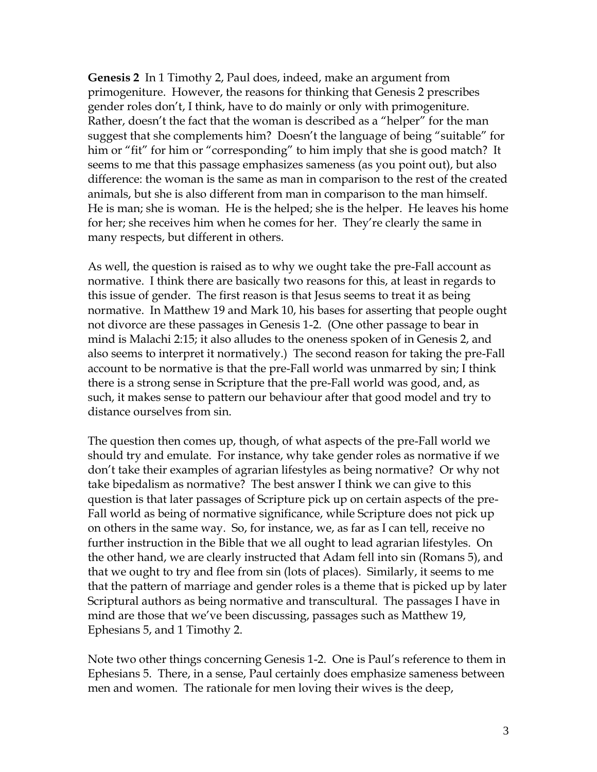**Genesis 2** In 1 Timothy 2, Paul does, indeed, make an argument from primogeniture. However, the reasons for thinking that Genesis 2 prescribes gender roles don't, I think, have to do mainly or only with primogeniture. Rather, doesn't the fact that the woman is described as a "helper" for the man suggest that she complements him? Doesn't the language of being "suitable" for him or "fit" for him or "corresponding" to him imply that she is good match? It seems to me that this passage emphasizes sameness (as you point out), but also difference: the woman is the same as man in comparison to the rest of the created animals, but she is also different from man in comparison to the man himself. He is man; she is woman. He is the helped; she is the helper. He leaves his home for her; she receives him when he comes for her. They're clearly the same in many respects, but different in others.

As well, the question is raised as to why we ought take the pre-Fall account as normative. I think there are basically two reasons for this, at least in regards to this issue of gender. The first reason is that Jesus seems to treat it as being normative. In Matthew 19 and Mark 10, his bases for asserting that people ought not divorce are these passages in Genesis 1-2. (One other passage to bear in mind is Malachi 2:15; it also alludes to the oneness spoken of in Genesis 2, and also seems to interpret it normatively.) The second reason for taking the pre-Fall account to be normative is that the pre-Fall world was unmarred by sin; I think there is a strong sense in Scripture that the pre-Fall world was good, and, as such, it makes sense to pattern our behaviour after that good model and try to distance ourselves from sin.

The question then comes up, though, of what aspects of the pre-Fall world we should try and emulate. For instance, why take gender roles as normative if we don't take their examples of agrarian lifestyles as being normative? Or why not take bipedalism as normative? The best answer I think we can give to this question is that later passages of Scripture pick up on certain aspects of the pre-Fall world as being of normative significance, while Scripture does not pick up on others in the same way. So, for instance, we, as far as I can tell, receive no further instruction in the Bible that we all ought to lead agrarian lifestyles. On the other hand, we are clearly instructed that Adam fell into sin (Romans 5), and that we ought to try and flee from sin (lots of places). Similarly, it seems to me that the pattern of marriage and gender roles is a theme that is picked up by later Scriptural authors as being normative and transcultural. The passages I have in mind are those that we've been discussing, passages such as Matthew 19, Ephesians 5, and 1 Timothy 2.

Note two other things concerning Genesis 1-2. One is Paul's reference to them in Ephesians 5. There, in a sense, Paul certainly does emphasize sameness between men and women. The rationale for men loving their wives is the deep,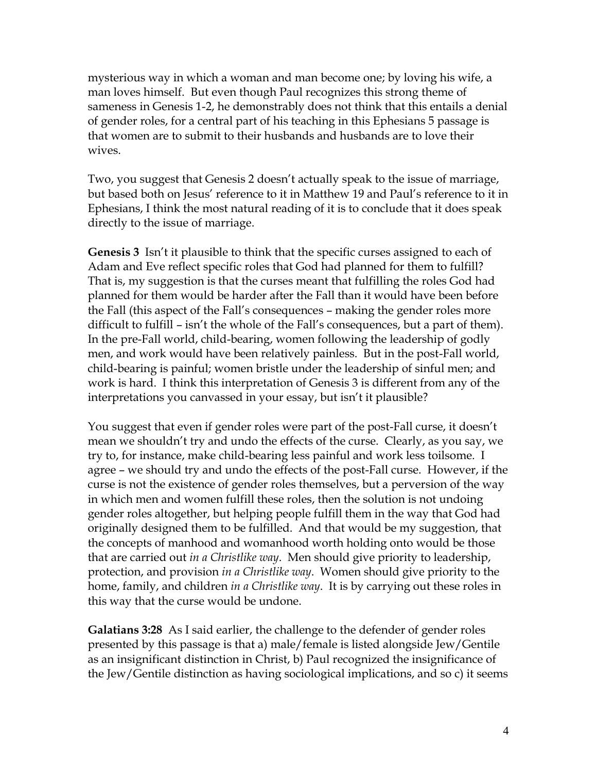mysterious way in which a woman and man become one; by loving his wife, a man loves himself. But even though Paul recognizes this strong theme of sameness in Genesis 1-2, he demonstrably does not think that this entails a denial of gender roles, for a central part of his teaching in this Ephesians 5 passage is that women are to submit to their husbands and husbands are to love their wives.

Two, you suggest that Genesis 2 doesn't actually speak to the issue of marriage, but based both on Jesus' reference to it in Matthew 19 and Paul's reference to it in Ephesians, I think the most natural reading of it is to conclude that it does speak directly to the issue of marriage.

**Genesis 3** Isn't it plausible to think that the specific curses assigned to each of Adam and Eve reflect specific roles that God had planned for them to fulfill? That is, my suggestion is that the curses meant that fulfilling the roles God had planned for them would be harder after the Fall than it would have been before the Fall (this aspect of the Fall's consequences – making the gender roles more difficult to fulfill – isn't the whole of the Fall's consequences, but a part of them). In the pre-Fall world, child-bearing, women following the leadership of godly men, and work would have been relatively painless. But in the post-Fall world, child-bearing is painful; women bristle under the leadership of sinful men; and work is hard. I think this interpretation of Genesis 3 is different from any of the interpretations you canvassed in your essay, but isn't it plausible?

You suggest that even if gender roles were part of the post-Fall curse, it doesn't mean we shouldn't try and undo the effects of the curse. Clearly, as you say, we try to, for instance, make child-bearing less painful and work less toilsome. I agree – we should try and undo the effects of the post-Fall curse. However, if the curse is not the existence of gender roles themselves, but a perversion of the way in which men and women fulfill these roles, then the solution is not undoing gender roles altogether, but helping people fulfill them in the way that God had originally designed them to be fulfilled. And that would be my suggestion, that the concepts of manhood and womanhood worth holding onto would be those that are carried out *in a Christlike way*. Men should give priority to leadership, protection, and provision *in a Christlike way*. Women should give priority to the home, family, and children *in a Christlike way*. It is by carrying out these roles in this way that the curse would be undone.

**Galatians 3:28** As I said earlier, the challenge to the defender of gender roles presented by this passage is that a) male/female is listed alongside Jew/Gentile as an insignificant distinction in Christ, b) Paul recognized the insignificance of the Jew/Gentile distinction as having sociological implications, and so c) it seems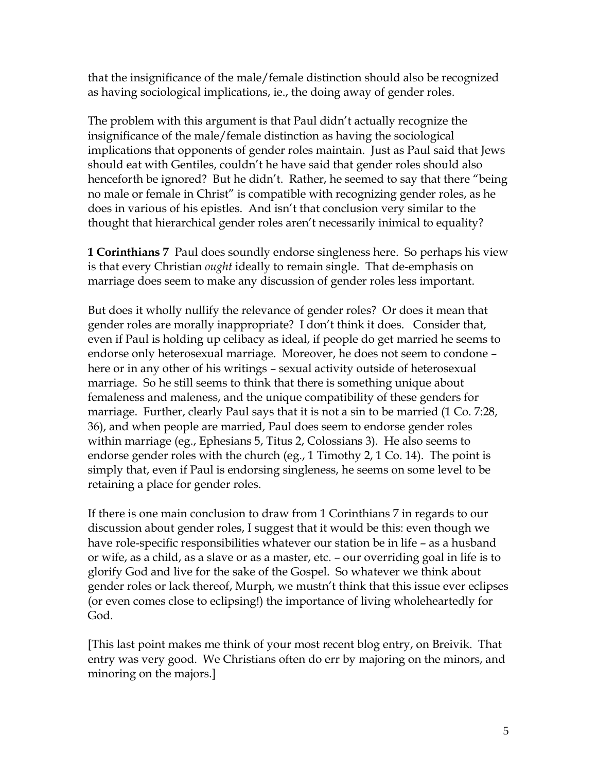that the insignificance of the male/female distinction should also be recognized as having sociological implications, ie., the doing away of gender roles.

The problem with this argument is that Paul didn't actually recognize the insignificance of the male/female distinction as having the sociological implications that opponents of gender roles maintain. Just as Paul said that Jews should eat with Gentiles, couldn't he have said that gender roles should also henceforth be ignored? But he didn't. Rather, he seemed to say that there "being no male or female in Christ" is compatible with recognizing gender roles, as he does in various of his epistles. And isn't that conclusion very similar to the thought that hierarchical gender roles aren't necessarily inimical to equality?

**1 Corinthians 7** Paul does soundly endorse singleness here. So perhaps his view is that every Christian *ought* ideally to remain single. That de-emphasis on marriage does seem to make any discussion of gender roles less important.

But does it wholly nullify the relevance of gender roles? Or does it mean that gender roles are morally inappropriate? I don't think it does. Consider that, even if Paul is holding up celibacy as ideal, if people do get married he seems to endorse only heterosexual marriage. Moreover, he does not seem to condone – here or in any other of his writings – sexual activity outside of heterosexual marriage. So he still seems to think that there is something unique about femaleness and maleness, and the unique compatibility of these genders for marriage. Further, clearly Paul says that it is not a sin to be married (1 Co. 7:28, 36), and when people are married, Paul does seem to endorse gender roles within marriage (eg., Ephesians 5, Titus 2, Colossians 3). He also seems to endorse gender roles with the church (eg., 1 Timothy 2, 1 Co. 14). The point is simply that, even if Paul is endorsing singleness, he seems on some level to be retaining a place for gender roles.

If there is one main conclusion to draw from 1 Corinthians 7 in regards to our discussion about gender roles, I suggest that it would be this: even though we have role-specific responsibilities whatever our station be in life – as a husband or wife, as a child, as a slave or as a master, etc. – our overriding goal in life is to glorify God and live for the sake of the Gospel. So whatever we think about gender roles or lack thereof, Murph, we mustn't think that this issue ever eclipses (or even comes close to eclipsing!) the importance of living wholeheartedly for God.

[This last point makes me think of your most recent blog entry, on Breivik. That entry was very good. We Christians often do err by majoring on the minors, and minoring on the majors.]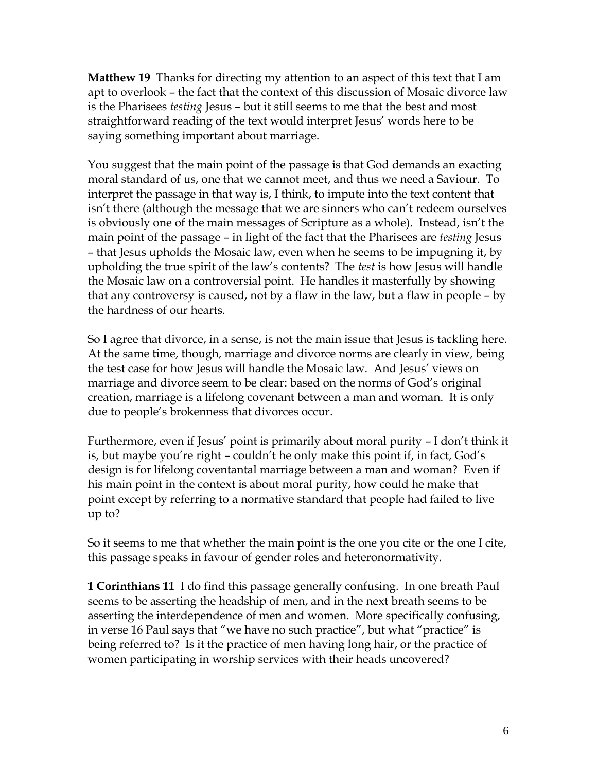**Matthew 19** Thanks for directing my attention to an aspect of this text that I am apt to overlook – the fact that the context of this discussion of Mosaic divorce law is the Pharisees *testing* Jesus – but it still seems to me that the best and most straightforward reading of the text would interpret Jesus' words here to be saying something important about marriage.

You suggest that the main point of the passage is that God demands an exacting moral standard of us, one that we cannot meet, and thus we need a Saviour. To interpret the passage in that way is, I think, to impute into the text content that isn't there (although the message that we are sinners who can't redeem ourselves is obviously one of the main messages of Scripture as a whole). Instead, isn't the main point of the passage – in light of the fact that the Pharisees are *testing* Jesus – that Jesus upholds the Mosaic law, even when he seems to be impugning it, by upholding the true spirit of the law's contents? The *test* is how Jesus will handle the Mosaic law on a controversial point. He handles it masterfully by showing that any controversy is caused, not by a flaw in the law, but a flaw in people – by the hardness of our hearts.

So I agree that divorce, in a sense, is not the main issue that Jesus is tackling here. At the same time, though, marriage and divorce norms are clearly in view, being the test case for how Jesus will handle the Mosaic law. And Jesus' views on marriage and divorce seem to be clear: based on the norms of God's original creation, marriage is a lifelong covenant between a man and woman. It is only due to people's brokenness that divorces occur.

Furthermore, even if Jesus' point is primarily about moral purity – I don't think it is, but maybe you're right – couldn't he only make this point if, in fact, God's design is for lifelong coventantal marriage between a man and woman? Even if his main point in the context is about moral purity, how could he make that point except by referring to a normative standard that people had failed to live up to?

So it seems to me that whether the main point is the one you cite or the one I cite, this passage speaks in favour of gender roles and heteronormativity.

**1 Corinthians 11** I do find this passage generally confusing. In one breath Paul seems to be asserting the headship of men, and in the next breath seems to be asserting the interdependence of men and women. More specifically confusing, in verse 16 Paul says that "we have no such practice", but what "practice" is being referred to? Is it the practice of men having long hair, or the practice of women participating in worship services with their heads uncovered?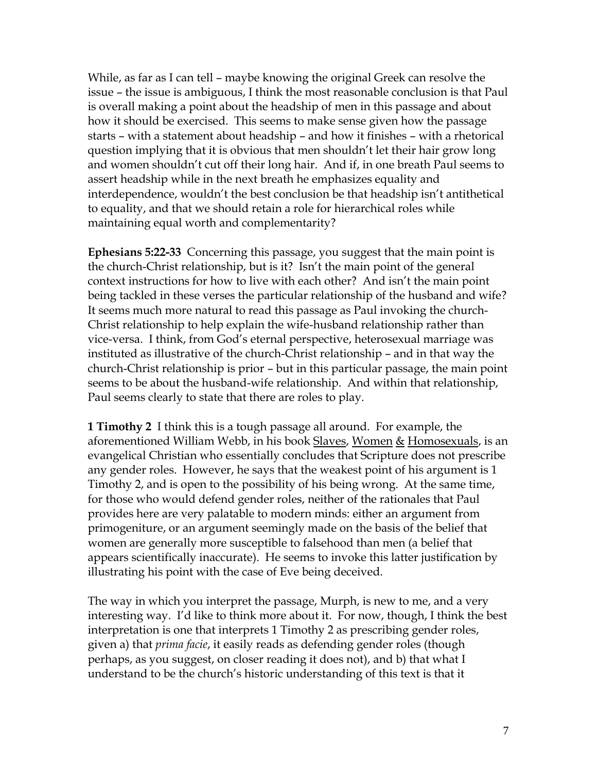While, as far as I can tell – maybe knowing the original Greek can resolve the issue – the issue is ambiguous, I think the most reasonable conclusion is that Paul is overall making a point about the headship of men in this passage and about how it should be exercised. This seems to make sense given how the passage starts – with a statement about headship – and how it finishes – with a rhetorical question implying that it is obvious that men shouldn't let their hair grow long and women shouldn't cut off their long hair. And if, in one breath Paul seems to assert headship while in the next breath he emphasizes equality and interdependence, wouldn't the best conclusion be that headship isn't antithetical to equality, and that we should retain a role for hierarchical roles while maintaining equal worth and complementarity?

**Ephesians 5:22-33** Concerning this passage, you suggest that the main point is the church-Christ relationship, but is it? Isn't the main point of the general context instructions for how to live with each other? And isn't the main point being tackled in these verses the particular relationship of the husband and wife? It seems much more natural to read this passage as Paul invoking the church-Christ relationship to help explain the wife-husband relationship rather than vice-versa. I think, from God's eternal perspective, heterosexual marriage was instituted as illustrative of the church-Christ relationship – and in that way the church-Christ relationship is prior – but in this particular passage, the main point seems to be about the husband-wife relationship. And within that relationship, Paul seems clearly to state that there are roles to play.

**1 Timothy 2** I think this is a tough passage all around. For example, the aforementioned William Webb, in his book Slaves, Women & Homosexuals, is an evangelical Christian who essentially concludes that Scripture does not prescribe any gender roles. However, he says that the weakest point of his argument is 1 Timothy 2, and is open to the possibility of his being wrong. At the same time, for those who would defend gender roles, neither of the rationales that Paul provides here are very palatable to modern minds: either an argument from primogeniture, or an argument seemingly made on the basis of the belief that women are generally more susceptible to falsehood than men (a belief that appears scientifically inaccurate). He seems to invoke this latter justification by illustrating his point with the case of Eve being deceived.

The way in which you interpret the passage, Murph, is new to me, and a very interesting way. I'd like to think more about it. For now, though, I think the best interpretation is one that interprets 1 Timothy 2 as prescribing gender roles, given a) that *prima facie*, it easily reads as defending gender roles (though perhaps, as you suggest, on closer reading it does not), and b) that what I understand to be the church's historic understanding of this text is that it